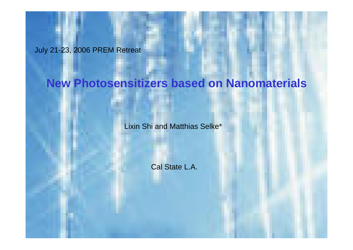July 21-23, 2006 PREM Retreat

## **New Photosensitizers based on Nanomaterials**

Lixin Shi and Matthias Selke\*

Cal State L.A.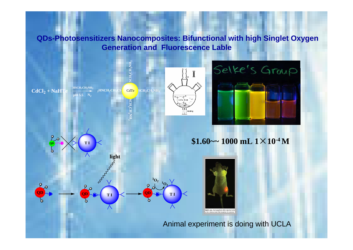**QDs-Photosensitizers Nanocomposites: Bifunctional with high Singlet Oxygen Generation and Fluorescence Lable**





 $$1.60$  ~~ 1000 mL  $1 \times 10^{-4}$  M



#### Animal experiment is doing with UCLA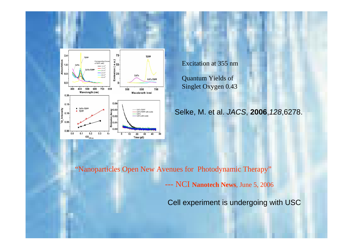

Excitation at 355 nm

Quantum Yields of Singlet Oxygen 0.43

Selke, M. et al. *JACS*, **2006**,*128*,6278.

"Nanoparticles Open New Avenues for Photodynamic Therapy"

---NCI **Nanotech News**, June 5, 2006

Cell experiment is undergoing with USC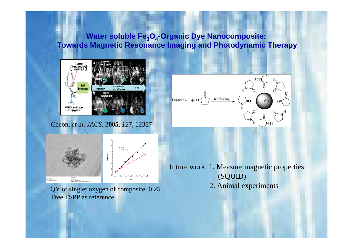### **Water soluble Fe<sub>3</sub>O<sub>4</sub>-Organic Dye Nanocomposite: Towards Magnetic Resonance Imaging and Photodynamic Therapy**

 $Fe(acac)_3$  -



Cheon, *et al*. *JACS*, **2005**, *127*, 12387



future work: 1. Measure magnetic properties (SQUID)

Refluxing

2. Animal experiments

 $H<sub>h</sub>$ 

 $Fe_{3}O$ 

QY of singlet oxygen of composite: 0.25 Free TSPP as reference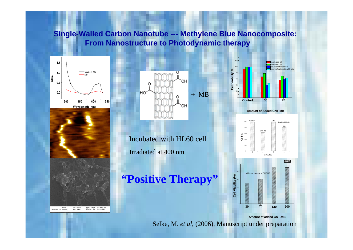#### **Single-Walled Carbon Nanotube --- Methylene Blue Nanocomposite: From Nanostructure to Photodynamic therapy**







Irradiated at 400 nmIncubated with HL60 cell

# **"Positive Therapy"**









#### **Amount of added CNT-MB**

Selke, M. *et al*, (2006), Manuscript under preparation